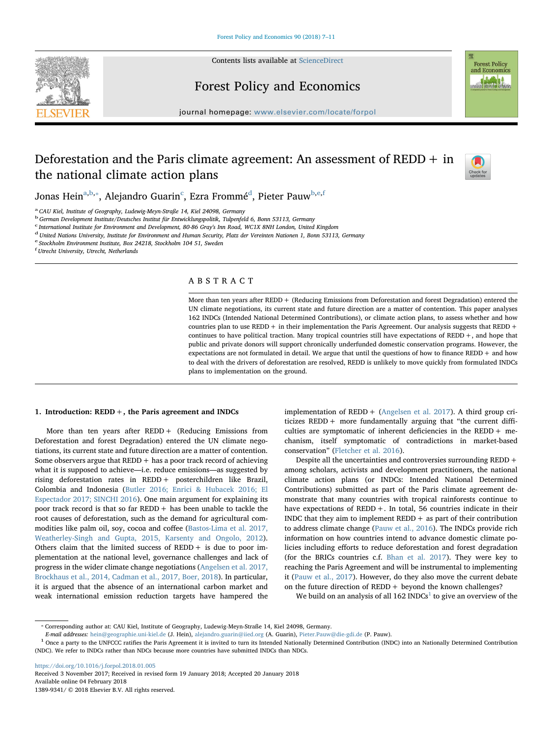

Contents lists available at [ScienceDirect](http://www.sciencedirect.com/science/journal/13899341)

# Forest Policy and Economics



journal homepage: [www.elsevier.com/locate/forpol](https://www.elsevier.com/locate/forpol)

## Deforestation and the Paris climate agreement: An assessment of  $REDD + in$ the national climate action plans



Jonas Hein<sup>[a,](#page-0-0)[b](#page-0-1),</sup>\*, Alejandro Guarin<sup>[c](#page-0-3)</sup>, Ezra Frommé<sup>[d](#page-0-4)</sup>, Pi[e](#page-0-5)ter Pauw<sup>b,e,[f](#page-0-6)</sup>

<span id="page-0-0"></span><sup>a</sup> CAU Kiel, Institute of Geography, Ludewig-Meyn-Straße 14, Kiel 24098, Germany

<span id="page-0-1"></span>b German Development Institute/Deutsches Institut für Entwicklungspolitik, Tulpenfeld 6, Bonn 53113, Germany

<span id="page-0-3"></span>c International Institute for Environment and Development, 80-86 Gray's Inn Road, WC1X 8NH London, United Kingdom

<span id="page-0-4"></span><sup>d</sup> United Nations University, Institute for Environment and Human Security, Platz der Vereinten Nationen 1, Bonn 53113, Germany

<span id="page-0-5"></span><sup>e</sup> Stockholm Environment Institute, Box 24218, Stockholm 104 51, Sweden

<span id="page-0-6"></span>f Utrecht University, Utrecht, Netherlands

### ABSTRACT

More than ten years after REDD + (Reducing Emissions from Deforestation and forest Degradation) entered the UN climate negotiations, its current state and future direction are a matter of contention. This paper analyses 162 INDCs (Intended National Determined Contributions), or climate action plans, to assess whether and how countries plan to use REDD + in their implementation the Paris Agreement. Our analysis suggests that REDD + continues to have political traction. Many tropical countries still have expectations of REDD+, and hope that public and private donors will support chronically underfunded domestic conservation programs. However, the expectations are not formulated in detail. We argue that until the questions of how to finance REDD + and how to deal with the drivers of deforestation are resolved, REDD is unlikely to move quickly from formulated INDCs plans to implementation on the ground.

#### 1. Introduction: REDD+, the Paris agreement and INDCs

More than ten years after REDD+ (Reducing Emissions from Deforestation and forest Degradation) entered the UN climate negotiations, its current state and future direction are a matter of contention. Some observers argue that REDD+ has a poor track record of achieving what it is supposed to achieve—i.e. reduce emissions—as suggested by rising deforestation rates in REDD+ posterchildren like Brazil, Colombia and Indonesia [\(Butler 2016; Enrici & Hubacek 2016; El](#page-3-0) [Espectador 2017; SINCHI 2016\)](#page-3-0). One main argument for explaining its poor track record is that so far REDD + has been unable to tackle the root causes of deforestation, such as the demand for agricultural commodities like palm oil, soy, cocoa and coffee ([Bastos-Lima et al. 2017,](#page-3-1) [Weatherley-Singh and Gupta, 2015, Karsenty and Ongolo, 2012](#page-3-1)). Others claim that the limited success of  $REDD +$  is due to poor implementation at the national level, governance challenges and lack of progress in the wider climate change negotiations ([Angelsen et al. 2017,](#page-3-2) [Brockhaus et al., 2014, Cadman et al., 2017, Boer, 2018](#page-3-2)). In particular, it is argued that the absence of an international carbon market and weak international emission reduction targets have hampered the

implementation of REDD+ [\(Angelsen et al. 2017](#page-3-2)). A third group criticizes  $REDD +$  more fundamentally arguing that "the current difficulties are symptomatic of inherent deficiencies in the REDD+ mechanism, itself symptomatic of contradictions in market-based conservation" ([Fletcher et al. 2016\)](#page-4-0).

Despite all the uncertainties and controversies surrounding REDD+ among scholars, activists and development practitioners, the national climate action plans (or INDCs: Intended National Determined Contributions) submitted as part of the Paris climate agreement demonstrate that many countries with tropical rainforests continue to have expectations of REDD+. In total, 56 countries indicate in their INDC that they aim to implement  $REDD + as$  part of their contribution to address climate change ([Pauw et al., 2016](#page-4-1)). The INDCs provide rich information on how countries intend to advance domestic climate policies including efforts to reduce deforestation and forest degradation (for the BRICs countries c.f. [Bhan et al. 2017\)](#page-3-3). They were key to reaching the Paris Agreement and will be instrumental to implementing it [\(Pauw et al., 2017](#page-4-2)). However, do they also move the current debate on the future direction of  $REDD + beyond$  the known challenges?

We build on an analysis of all  $162$  $162$  INDCs<sup>1</sup> to give an overview of the

<https://doi.org/10.1016/j.forpol.2018.01.005>

Received 3 November 2017; Received in revised form 19 January 2018; Accepted 20 January 2018 Available online 04 February 2018 1389-9341/ © 2018 Elsevier B.V. All rights reserved.

<span id="page-0-2"></span><sup>⁎</sup> Corresponding author at: CAU Kiel, Institute of Geography, Ludewig-Meyn-Straße 14, Kiel 24098, Germany.

<span id="page-0-7"></span> $E$ -mail addresses: [hein@geographie.uni-kiel.de](mailto:hein@geographie.uni-kiel.de) (J. Hein), [alejandro.guarin@iied.org](mailto:alejandro.guarin@iied.org) (A. Guarin), [Pieter.Pauw@die-gdi.de](mailto:Pieter.Pauw@die-gdi.de) (P. Pauw).<br><sup>1</sup> Once a party to the UNFCCC ratifies the Paris Agreement it is invited to turn its Int (NDC). We refer to INDCs rather than NDCs because more countries have submitted INDCs than NDCs.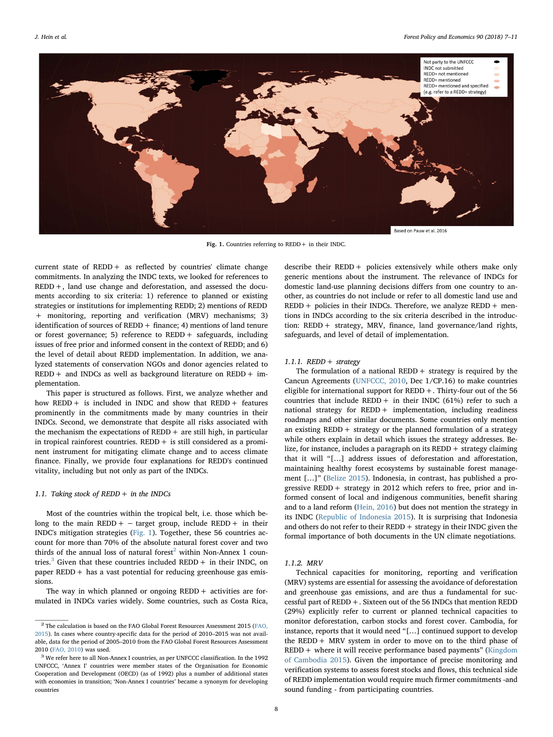<span id="page-1-0"></span>

Fig. 1. Countries referring to REDD+ in their INDC.

current state of REDD+ as reflected by countries' climate change commitments. In analyzing the INDC texts, we looked for references to REDD+, land use change and deforestation, and assessed the documents according to six criteria: 1) reference to planned or existing strategies or institutions for implementing REDD; 2) mentions of REDD + monitoring, reporting and verification (MRV) mechanisms; 3) identification of sources of REDD + finance; 4) mentions of land tenure or forest governance; 5) reference to REDD+ safeguards, including issues of free prior and informed consent in the context of REDD; and 6) the level of detail about REDD implementation. In addition, we analyzed statements of conservation NGOs and donor agencies related to  $REDD +$  and INDCs as well as background literature on REDD + implementation.

This paper is structured as follows. First, we analyze whether and how REDD+ is included in INDC and show that REDD+ features prominently in the commitments made by many countries in their INDCs. Second, we demonstrate that despite all risks associated with the mechanism the expectations of  $REDD +$  are still high, in particular in tropical rainforest countries.  $REDD +$  is still considered as a prominent instrument for mitigating climate change and to access climate finance. Finally, we provide four explanations for REDD's continued vitality, including but not only as part of the INDCs.

#### 1.1. Taking stock of  $REDD + in$  the INDCs

Most of the countries within the tropical belt, i.e. those which belong to the main REDD +  $-$  target group, include REDD + in their INDC's mitigation strategies [\(Fig. 1](#page-1-0)). Together, these 56 countries account for more than 70% of the absolute natural forest cover and two thirds of the annual loss of natural forest<sup>[2](#page-1-1)</sup> within Non-Annex 1 coun-tries.<sup>[3](#page-1-2)</sup> Given that these countries included REDD + in their INDC, on paper REDD + has a vast potential for reducing greenhouse gas emissions.

The way in which planned or ongoing  $REDD +$  activities are formulated in INDCs varies widely. Some countries, such as Costa Rica, describe their REDD+ policies extensively while others make only generic mentions about the instrument. The relevance of INDCs for domestic land-use planning decisions differs from one country to another, as countries do not include or refer to all domestic land use and  $REDD +$  policies in their INDCs. Therefore, we analyze  $REDD +$  mentions in INDCs according to the six criteria described in the introduction: REDD+ strategy, MRV, finance, land governance/land rights, safeguards, and level of detail of implementation.

#### 1.1.1. REDD  $+$  strategy

The formulation of a national REDD  $+$  strategy is required by the Cancun Agreements [\(UNFCCC, 2010](#page-4-3), Dec 1/CP.16) to make countries eligible for international support for REDD+. Thirty-four out of the 56 countries that include REDD + in their INDC (61%) refer to such a national strategy for REDD+ implementation, including readiness roadmaps and other similar documents. Some countries only mention an existing  $REDD +$  strategy or the planned formulation of a strategy while others explain in detail which issues the strategy addresses. Belize, for instance, includes a paragraph on its REDD+ strategy claiming that it will "[…] address issues of deforestation and afforestation, maintaining healthy forest ecosystems by sustainable forest management […]" ([Belize 2015\)](#page-3-4). Indonesia, in contrast, has published a progressive REDD + strategy in 2012 which refers to free, prior and informed consent of local and indigenous communities, benefit sharing and to a land reform ([Hein, 2016\)](#page-4-4) but does not mention the strategy in its INDC [\(Republic of Indonesia 2015\)](#page-4-5). It is surprising that Indonesia and others do not refer to their REDD  $+$  strategy in their INDC given the formal importance of both documents in the UN climate negotiations.

#### 1.1.2. MRV

Technical capacities for monitoring, reporting and verification (MRV) systems are essential for assessing the avoidance of deforestation and greenhouse gas emissions, and are thus a fundamental for successful part of REDD+. Sixteen out of the 56 INDCs that mention REDD (29%) explicitly refer to current or planned technical capacities to monitor deforestation, carbon stocks and forest cover. Cambodia, for instance, reports that it would need "[…] continued support to develop the REDD+ MRV system in order to move on to the third phase of  $REDD +$  where it will receive performance based payments" ([Kingdom](#page-4-6) [of Cambodia 2015\)](#page-4-6). Given the importance of precise monitoring and verification systems to assess forest stocks and flows, this technical side of REDD implementation would require much firmer commitments -and sound funding - from participating countries.

<span id="page-1-1"></span> $^2$  The calculation is based on the FAO Global Forest Resources Assessment 2015 [\(FAO,](#page-3-5) [2015\)](#page-3-5). In cases where country-specific data for the period of 2010–2015 was not available, data for the period of 2005–2010 from the FAO Global Forest Resources Assessment 2010 [\(FAO, 2010](#page-3-6)) was used.  $3$  We refer here to all Non-Annex I countries, as per UNFCCC classification. In the 1992

<span id="page-1-2"></span>UNFCCC, 'Annex I' countries were member states of the Organisation for Economic Cooperation and Development (OECD) (as of 1992) plus a number of additional states with economies in transition; 'Non-Annex I countries' became a synonym for developing countries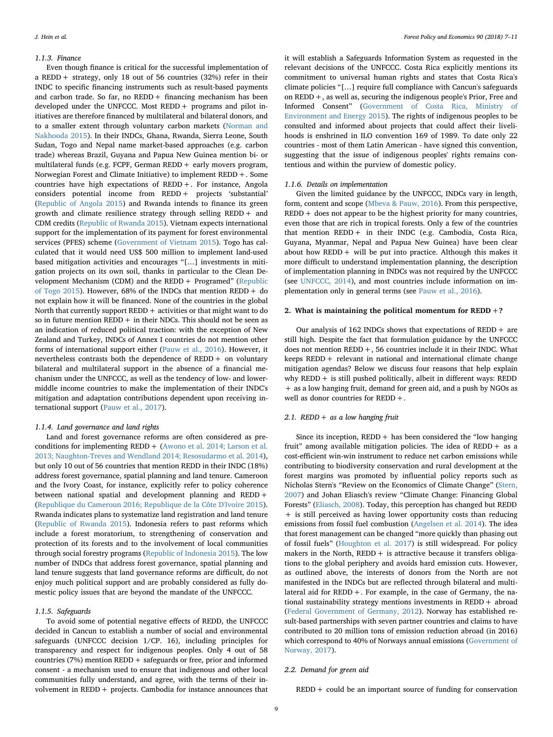#### 1.1.3. Finance

Even though finance is critical for the successful implementation of a REDD+ strategy, only 18 out of 56 countries (32%) refer in their INDC to specific financing instruments such as result-based payments and carbon trade. So far, no  $REDD +$  financing mechanism has been developed under the UNFCCC. Most REDD+ programs and pilot initiatives are therefore financed by multilateral and bilateral donors, and to a smaller extent through voluntary carbon markets [\(Norman and](#page-4-7) [Nakhooda 2015](#page-4-7)). In their INDCs, Ghana, Rwanda, Sierra Leone, South Sudan, Togo and Nepal name market-based approaches (e.g. carbon trade) whereas Brazil, Guyana and Papua New Guinea mention bi- or multilateral funds (e.g. FCPF, German REDD  $+$  early movers program, Norwegian Forest and Climate Initiative) to implement REDD+. Some countries have high expectations of REDD+. For instance, Angola considers potential income from REDD+ projects 'substantial' ([Republic of Angola 2015](#page-4-8)) and Rwanda intends to finance its green growth and climate resilience strategy through selling REDD+ and CDM credits ([Republic of Rwanda 2015](#page-4-9)). Vietnam expects international support for the implementation of its payment for forest environmental services (PFES) scheme [\(Government of Vietnam 2015\)](#page-4-10). Togo has calculated that it would need US\$ 500 million to implement land-used based mitigation activities and encourages "[…] investments in mitigation projects on its own soil, thanks in particular to the Clean De-velopment Mechanism (CDM) and the REDD + Programed" ([Republic](#page-4-11) [of Togo 2015\)](#page-4-11). However, 68% of the INDCs that mention REDD+ do not explain how it will be financed. None of the countries in the global North that currently support REDD+ activities or that might want to do so in future mention  $REDD +$  in their NDCs. This should not be seen as an indication of reduced political traction: with the exception of New Zealand and Turkey, INDCs of Annex I countries do not mention other forms of international support either [\(Pauw et al., 2016\)](#page-4-1). However, it nevertheless contrasts both the dependence of REDD+ on voluntary bilateral and multilateral support in the absence of a financial mechanism under the UNFCCC, as well as the tendency of low- and lowermiddle income countries to make the implementation of their INDC's mitigation and adaptation contributions dependent upon receiving international support [\(Pauw et al., 2017](#page-4-2)).

#### 1.1.4. Land governance and land rights

Land and forest governance reforms are often considered as preconditions for implementing REDD+ [\(Awono et al. 2014; Larson et al.](#page-3-7) [2013; Naughton-Treves and Wendland 2014; Resosudarmo et al. 2014](#page-3-7)), but only 10 out of 56 countries that mention REDD in their INDC (18%) address forest governance, spatial planning and land tenure. Cameroon and the Ivory Coast, for instance, explicitly refer to policy coherence between national spatial and development planning and REDD+ ([Republique du Cameroun 2016; Republique de la Côte D'Ivoire 2015](#page-4-12)). Rwanda indicates plans to systematize land registration and land tenure ([Republic of Rwanda 2015\)](#page-4-9). Indonesia refers to past reforms which include a forest moratorium, to strengthening of conservation and protection of its forests and to the involvement of local communities through social forestry programs [\(Republic of Indonesia 2015](#page-4-5)). The low number of INDCs that address forest governance, spatial planning and land tenure suggests that land governance reforms are difficult, do not enjoy much political support and are probably considered as fully domestic policy issues that are beyond the mandate of the UNFCCC.

#### 1.1.5. Safeguards

To avoid some of potential negative effects of REDD, the UNFCCC decided in Cancun to establish a number of social and environmental safeguards (UNFCCC decision 1/CP. 16), including principles for transparency and respect for indigenous peoples. Only 4 out of 58 countries (7%) mention REDD+ safeguards or free, prior and informed consent - a mechanism used to ensure that indigenous and other local communities fully understand, and agree, with the terms of their involvement in REDD+ projects. Cambodia for instance announces that it will establish a Safeguards Information System as requested in the relevant decisions of the UNFCCC. Costa Rica explicitly mentions its commitment to universal human rights and states that Costa Rica's climate policies "[…] require full compliance with Cancun's safeguards on REDD+, as well as, securing the indigenous people's Prior, Free and Informed Consent" ([Government of Costa Rica, Ministry of](#page-4-10) [Environment and Energy 2015\)](#page-4-10). The rights of indigenous peoples to be consulted and informed about projects that could affect their livelihoods is enshrined in ILO convention 169 of 1989. To date only 22 countries - most of them Latin American - have signed this convention, suggesting that the issue of indigenous peoples' rights remains contentious and within the purview of domestic policy.

#### 1.1.6. Details on implementation

Given the limited guidance by the UNFCCC, INDCs vary in length, form, content and scope ([Mbeva & Pauw, 2016](#page-4-13)). From this perspective,  $REDD +$  does not appear to be the highest priority for many countries, even those that are rich in tropical forests. Only a few of the countries that mention REDD+ in their INDC (e.g. Cambodia, Costa Rica, Guyana, Myanmar, Nepal and Papua New Guinea) have been clear about how REDD + will be put into practice. Although this makes it more difficult to understand implementation planning, the description of implementation planning in INDCs was not required by the UNFCCC (see [UNFCCC, 2014](#page-4-14)), and most countries include information on implementation only in general terms (see [Pauw et al., 2016](#page-4-1)).

#### 2. What is maintaining the political momentum for  $REDD + ?$

Our analysis of  $162$  INDCs shows that expectations of REDD + are still high. Despite the fact that formulation guidance by the UNFCCC does not mention REDD+, 56 countries include it in their INDC. What keeps REDD+ relevant in national and international climate change mitigation agendas? Below we discuss four reasons that help explain why  $REDD +$  is still pushed politically, albeit in different ways: REDD + as a low hanging fruit, demand for green aid, and a push by NGOs as well as donor countries for REDD+.

#### 2.1. REDD + as a low hanging fruit

Since its inception,  $REDD +$  has been considered the "low hanging fruit" among available mitigation policies. The idea of  $REDD + as a$ cost-efficient win-win instrument to reduce net carbon emissions while contributing to biodiversity conservation and rural development at the forest margins was promoted by influential policy reports such as Nicholas Stern's "Review on the Economics of Climate Change" [\(Stern,](#page-4-15) [2007\)](#page-4-15) and Johan Eliasch's review "Climate Change: Financing Global Forests" [\(Eliasch, 2008\)](#page-3-8). Today, this perception has changed but REDD + is still perceived as having lower opportunity costs than reducing emissions from fossil fuel combustion ([Angelsen et al. 2014](#page-3-9)). The idea that forest management can be changed "more quickly than phasing out of fossil fuels" (Houghton [et al. 2017](#page-4-16)) is still widespread. For policy makers in the North,  $REDD +$  is attractive because it transfers obligations to the global periphery and avoids hard emission cuts. However, as outlined above, the interests of donors from the North are not manifested in the INDCs but are reflected through bilateral and multilateral aid for  $REDD +$ . For example, in the case of Germany, the national sustainability strategy mentions investments in REDD+ abroad ([Federal Government of Germany, 2012](#page-3-10)). Norway has established result-based partnerships with seven partner countries and claims to have contributed to 20 million tons of emission reduction abroad (in 2016) which correspond to 40% of Norways annual emissions [\(Government of](#page-4-17) [Norway, 2017](#page-4-17)).

#### 2.2. Demand for green aid

 $REDD + could be an important source of funding for conservation$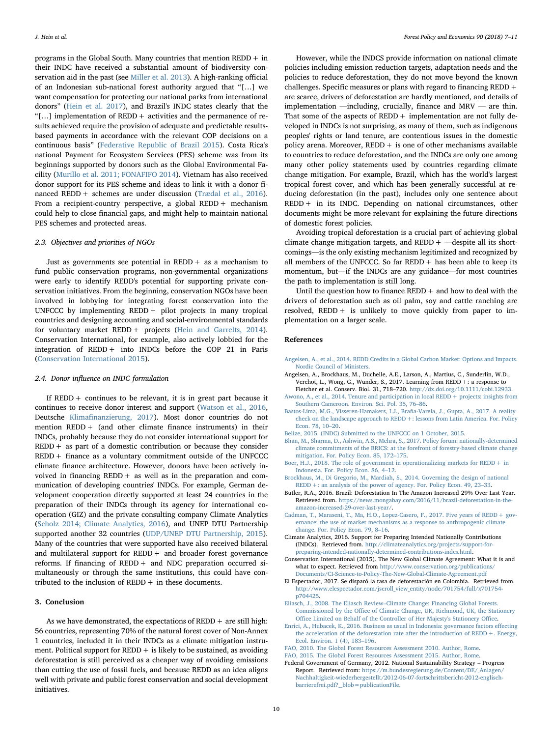programs in the Global South. Many countries that mention  $REDD + in$ their INDC have received a substantial amount of biodiversity conservation aid in the past (see [Miller et al. 2013\)](#page-4-18). A high-ranking official of an Indonesian sub-national forest authority argued that "[…] we want compensation for protecting our national parks from international donors" ([Hein et al. 2017\)](#page-4-19), and Brazil's INDC states clearly that the "[…] implementation of REDD+ activities and the permanence of results achieved require the provision of adequate and predictable resultsbased payments in accordance with the relevant COP decisions on a continuous basis" ([Federative Republic of Brazil 2015\)](#page-4-20). Costa Rica's national Payment for Ecosystem Services (PES) scheme was from its beginnings supported by donors such as the Global Environmental Facility ([Murillo et al. 2011; FONAFIFO 2014\)](#page-4-21). Vietnam has also received donor support for its PES scheme and ideas to link it with a donor financed REDD+ schemes are under discussion [\(Trædal et al., 2016](#page-4-22)). From a recipient-country perspective, a global REDD + mechanism could help to close financial gaps, and might help to maintain national PES schemes and protected areas.

#### 2.3. Objectives and priorities of NGOs

Just as governments see potential in  $REDD + as a mechanism to$ fund public conservation programs, non-governmental organizations were early to identify REDD's potential for supporting private conservation initiatives. From the beginning, conservation NGOs have been involved in lobbying for integrating forest conservation into the UNFCCC by implementing REDD+ pilot projects in many tropical countries and designing accounting and social-environmental standards for voluntary market REDD+ projects ([Hein and Garrelts, 2014](#page-4-23)). Conservation International, for example, also actively lobbied for the integration of REDD+ into INDCs before the COP 21 in Paris ([Conservation International 2015](#page-3-11)).

#### 2.4. Donor influence on INDC formulation

If REDD + continues to be relevant, it is in great part because it continues to receive donor interest and support [\(Watson et al., 2016](#page-4-24), Deutsche Klimafi[nanzierung, 2017\)](#page-4-25). Most donor countries do not mention REDD+ (and other climate finance instruments) in their INDCs, probably because they do not consider international support for  $REDD + as$  part of a domestic contribution or because they consider  $REDD +$  finance as a voluntary commitment outside of the UNFCCC climate finance architecture. However, donors have been actively involved in financing  $REDD + as$  well as in the preparation and communication of developing countries' INDCs. For example, German development cooperation directly supported at least 24 countries in the preparation of their INDCs through its agency for international cooperation (GIZ) and the private consulting company Climate Analytics ([Scholz 2014; Climate Analytics, 2016](#page-4-26)), and UNEP DTU Partnership supported another 32 countries ([UDP/UNEP DTU Partnership, 2015](#page-4-27)). Many of the countries that were supported have also received bilateral and multilateral support for REDD+ and broader forest governance reforms. If financing of REDD+ and NDC preparation occurred simultaneously or through the same institutions, this could have contributed to the inclusion of  $REDD +$  in these documents.

#### 3. Conclusion

As we have demonstrated, the expectations of  $REDD +$  are still high: 56 countries, representing 70% of the natural forest cover of Non-Annex 1 countries, included it in their INDCs as a climate mitigation instrument. Political support for REDD  $+$  is likely to be sustained, as avoiding deforestation is still perceived as a cheaper way of avoiding emissions than cutting the use of fossil fuels, and because REDD as an idea aligns well with private and public forest conservation and social development initiatives.

However, while the INDCS provide information on national climate policies including emission reduction targets, adaptation needs and the policies to reduce deforestation, they do not move beyond the known challenges. Specific measures or plans with regard to financing REDD+ are scarce, drivers of deforestation are hardly mentioned, and details of implementation —including, crucially, finance and MRV — are thin. That some of the aspects of  $REDD +$  implementation are not fully developed in INDCs is not surprising, as many of them, such as indigenous peoples' rights or land tenure, are contentious issues in the domestic policy arena. Moreover,  $REDD +$  is one of other mechanisms available to countries to reduce deforestation, and the INDCs are only one among many other policy statements used by countries regarding climate change mitigation. For example, Brazil, which has the world's largest tropical forest cover, and which has been generally successful at reducing deforestation (in the past), includes only one sentence about REDD+ in its INDC. Depending on national circumstances, other documents might be more relevant for explaining the future directions of domestic forest policies.

Avoiding tropical deforestation is a crucial part of achieving global climate change mitigation targets, and  $REDD +$  —despite all its shortcomings—is the only existing mechanism legitimized and recognized by all members of the UNFCCC. So far  $REDD +$  has been able to keep its momentum, but—if the INDCs are any guidance—for most countries the path to implementation is still long.

Until the question how to finance  $REDD +$  and how to deal with the drivers of deforestation such as oil palm, soy and cattle ranching are resolved,  $REDD +$  is unlikely to move quickly from paper to implementation on a larger scale.

#### References

- <span id="page-3-9"></span>[Angelsen, A., et al., 2014. REDD Credits in a Global Carbon Market: Options and Impacts.](http://refhub.elsevier.com/S1389-9341(17)30537-3/rf0005) [Nordic Council of Ministers.](http://refhub.elsevier.com/S1389-9341(17)30537-3/rf0005)
- <span id="page-3-2"></span>Angelsen, A., Brockhaus, M., Duchelle, A.E., Larson, A., Martius, C., Sunderlin, W.D., Verchot, L., Wong, G., Wunder, S., 2017. Learning from REDD+: a response to Fletcher et al. Conserv. Biol. 31, 718–720. [http://dx.doi.org/10.1111/cobi.12933.](http://dx.doi.org/10.1111/cobi.12933)
- <span id="page-3-7"></span>[Awono, A., et al., 2014. Tenure and participation in local REDD+ projects: insights from](http://refhub.elsevier.com/S1389-9341(17)30537-3/rf0015) [Southern Cameroon. Environ. Sci. Pol. 35, 76](http://refhub.elsevier.com/S1389-9341(17)30537-3/rf0015)–86.
- <span id="page-3-1"></span>[Bastos-Lima, M.G., Visseren-Hamakers, I.J., Braña-Varela, J., Gupta, A., 2017. A reality](http://refhub.elsevier.com/S1389-9341(17)30537-3/rf0020) [check on the landscape approach to REDD+: lessons from Latin America. For. Policy](http://refhub.elsevier.com/S1389-9341(17)30537-3/rf0020) [Econ. 78, 10](http://refhub.elsevier.com/S1389-9341(17)30537-3/rf0020)–20.
- <span id="page-3-4"></span>[Belize, 2015. \(INDC\) Submitted to the UNFCCC on 1 October, 2015.](http://refhub.elsevier.com/S1389-9341(17)30537-3/rf0025)
- <span id="page-3-3"></span>[Bhan, M., Sharma, D., Ashwin, A.S., Mehra, S., 2017. Policy forum: nationally-determined](http://refhub.elsevier.com/S1389-9341(17)30537-3/rf0030) [climate commitments of the BRICS: at the forefront of forestry-based climate change](http://refhub.elsevier.com/S1389-9341(17)30537-3/rf0030) [mitigation. For. Policy Econ. 85, 172](http://refhub.elsevier.com/S1389-9341(17)30537-3/rf0030)–175.
- [Boer, H.J., 2018. The role of government in operationalizing markets for REDD+ in](http://refhub.elsevier.com/S1389-9341(17)30537-3/rf0035) [Indonesia. For. Policy Econ. 86, 4](http://refhub.elsevier.com/S1389-9341(17)30537-3/rf0035)–12.
- [Brockhaus, M., Di Gregorio, M., Mardiah, S., 2014. Governing the design of national](http://refhub.elsevier.com/S1389-9341(17)30537-3/rf0040) REDD +: an analysis of the power of agency. For. Policy Econ. 49, 23-33.
- <span id="page-3-0"></span>Butler, R.A., 2016. Brazil: Deforestation In The Amazon Increased 29% Over Last Year. Retrieved from. [https://news.mongabay.com/2016/11/brazil-deforestation-in-the](https://news.mongabay.com/2016/11/brazil-deforestation-in-the-amazon-increased-29-over-last-year/)[amazon-increased-29-over-last-year/](https://news.mongabay.com/2016/11/brazil-deforestation-in-the-amazon-increased-29-over-last-year/).
- Cadman, T., Maraseni, T., Ma, H.O., Lopez-Casero, F., 2017. Five years of REDD + gov[ernance: the use of market mechanisms as a response to anthropogenic climate](http://refhub.elsevier.com/S1389-9341(17)30537-3/rf0050) [change. For. Policy Econ. 79, 8](http://refhub.elsevier.com/S1389-9341(17)30537-3/rf0050)–16.
- Climate Analytics, 2016. Support for Preparing Intended Nationally Contributions (INDCs). Retrieved from. [http://climateanalytics.org/projects/support-for](http://climateanalytics.org/projects/support-for-preparing-intended-nationally-determined-contributions-indcs.html)[preparing-intended-nationally-determined-contributions-indcs.html.](http://climateanalytics.org/projects/support-for-preparing-intended-nationally-determined-contributions-indcs.html)
- <span id="page-3-11"></span>Conservation International (2015). The New Global Climate Agreement: What it is and what to expect. Retrieved from [http://www.conservation.org/publications/](http://www.conservation.org/publications/Documents/CI-Science-to-Policy-The-New-Global-Climate-Agreement.pdf) [Documents/CI-Science-to-Policy-The-New-Global-Climate-Agreement.pdf](http://www.conservation.org/publications/Documents/CI-Science-to-Policy-The-New-Global-Climate-Agreement.pdf)
- El Espectador, 2017. Se disparó la tasa de deforestación en Colombia. Retrieved from. [http://www.elespectador.com/jscroll\\_view\\_entity/node/701754/full/x701754](http://www.elespectador.com/jscroll_view_entity/node/701754/full/x701754-p704425) [p704425.](http://www.elespectador.com/jscroll_view_entity/node/701754/full/x701754-p704425)
- <span id="page-3-8"></span>Eliasch, J., 2008. The Eliasch Review–[Climate Change: Financing Global Forests.](http://refhub.elsevier.com/S1389-9341(17)30537-3/rf0065) Commissioned by the Offi[ce of Climate Change, UK, Richmond, UK, the Stationery](http://refhub.elsevier.com/S1389-9341(17)30537-3/rf0065) Offi[ce Limited on Behalf of the Controller of Her Majesty's Stationery O](http://refhub.elsevier.com/S1389-9341(17)30537-3/rf0065)ffice.
- [Enrici, A., Hubacek, K., 2016. Business as usual in Indonesia: governance factors e](http://refhub.elsevier.com/S1389-9341(17)30537-3/rf0070)ffecting [the acceleration of the deforestation rate after the introduction of REDD+. Energy,](http://refhub.elsevier.com/S1389-9341(17)30537-3/rf0070) [Ecol. Environ. 1 \(4\), 183](http://refhub.elsevier.com/S1389-9341(17)30537-3/rf0070)–196.
- <span id="page-3-6"></span>[FAO, 2010. The Global Forest Resources Assessment 2010. Author, Rome](http://refhub.elsevier.com/S1389-9341(17)30537-3/rf0075).
- <span id="page-3-5"></span>[FAO, 2015. The Global Forest Resources Assessment 2015. Author, Rome](http://refhub.elsevier.com/S1389-9341(17)30537-3/rf0080).
- <span id="page-3-10"></span>Federal Government of Germany, 2012. National Sustainability Strategy – Progress Report. Retrieved from: [https://m.bundesregierung.de/Content/DE/\\_Anlagen/](https://m.bundesregierung.de/Content/DE/_Anlagen/Nachhaltigkeit-wiederhergestellt/2012-06-07-fortschrittsbericht-2012-englisch-barrierefrei.pdf?__blob=publicationFile) [Nachhaltigkeit-wiederhergestellt/2012-06-07-fortschrittsbericht-2012-englisch](https://m.bundesregierung.de/Content/DE/_Anlagen/Nachhaltigkeit-wiederhergestellt/2012-06-07-fortschrittsbericht-2012-englisch-barrierefrei.pdf?__blob=publicationFile) $barrierer [pdf?\_blob = publicationFile.$